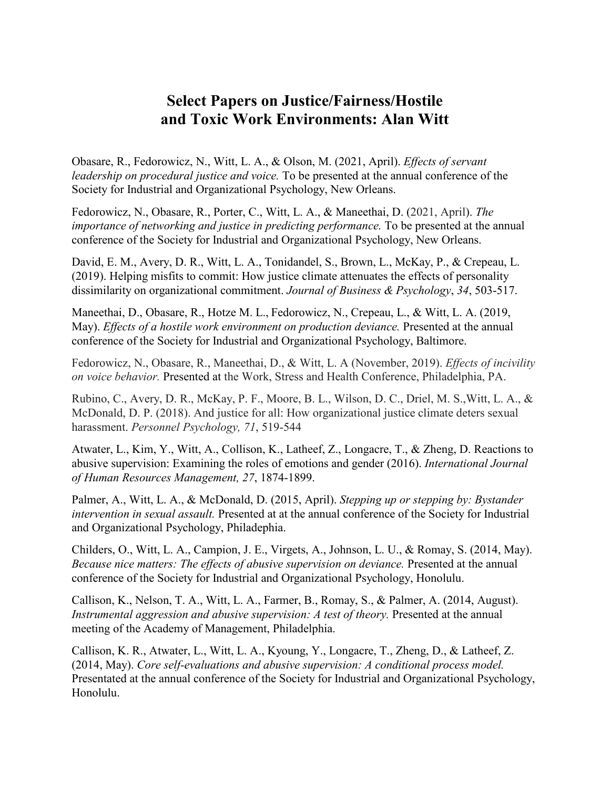## **Select Papers on Justice/Fairness/Hostile and Toxic Work Environments: Alan Witt**

Obasare, R., Fedorowicz, N., Witt, L. A., & Olson, M. (2021, April). *Effects of servant leadership on procedural justice and voice.* To be presented at the annual conference of the Society for Industrial and Organizational Psychology, New Orleans.

Fedorowicz, N., Obasare, R., Porter, C., Witt, L. A., & Maneethai, D. (2021, April). *The importance of networking and justice in predicting performance.* To be presented at the annual conference of the Society for Industrial and Organizational Psychology, New Orleans.

David, E. M., Avery, D. R., Witt, L. A., Tonidandel, S., Brown, L., McKay, P., & Crepeau, L. (2019). Helping misfits to commit: How justice climate attenuates the effects of personality dissimilarity on organizational commitment. *Journal of Business & Psychology*, *34*, 503-517.

Maneethai, D., Obasare, R., Hotze M. L., Fedorowicz, N., Crepeau, L., & Witt, L. A. (2019, May). *Effects of a hostile work environment on production deviance.* Presented at the annual conference of the Society for Industrial and Organizational Psychology, Baltimore.

Fedorowicz, N., Obasare, R., Maneethai, D., & Witt, L. A (November, 2019). *Effects of incivility on voice behavior.* Presented at the Work, Stress and Health Conference, Philadelphia, PA.

Rubino, C., Avery, D. R., McKay, P. F., Moore, B. L., Wilson, D. C., Driel, M. S.,Witt, L. A., & McDonald, D. P. (2018). And justice for all: How organizational justice climate deters sexual harassment. *Personnel Psychology, 71*, 519-544

Atwater, L., Kim, Y., Witt, A., Collison, K., Latheef, Z., Longacre, T., & Zheng, D. Reactions to abusive supervision: Examining the roles of emotions and gender (2016). *International Journal of Human Resources Management, 27*, 1874-1899.

Palmer, A., Witt, L. A., & McDonald, D. (2015, April). *Stepping up or stepping by: Bystander intervention in sexual assault.* Presented at at the annual conference of the Society for Industrial and Organizational Psychology, Philadephia.

Childers, O., Witt, L. A., Campion, J. E., Virgets, A., Johnson, L. U., & Romay, S. (2014, May). *Because nice matters: The effects of abusive supervision on deviance.* Presented at the annual conference of the Society for Industrial and Organizational Psychology, Honolulu.

Callison, K., Nelson, T. A., Witt, L. A., Farmer, B., Romay, S., & Palmer, A. (2014, August). *Instrumental aggression and abusive supervision: A test of theory.* Presented at the annual meeting of the Academy of Management, Philadelphia.

Callison, K. R., Atwater, L., Witt, L. A., Kyoung, Y., Longacre, T., Zheng, D., & Latheef, Z. (2014, May). *Core self-evaluations and abusive supervision: A conditional process model.* Presentated at the annual conference of the Society for Industrial and Organizational Psychology, Honolulu.